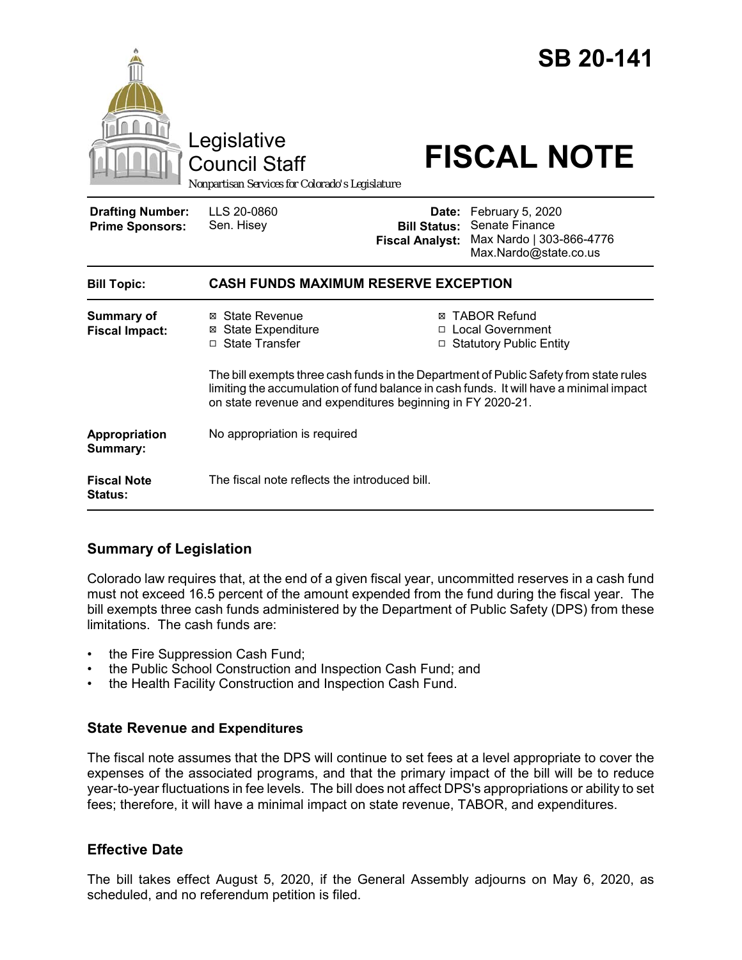|                                                   | Legislative<br><b>Council Staff</b><br>Nonpartisan Services for Colorado's Legislature                                                                                                                                                        |                                                                             | <b>SB 20-141</b><br><b>FISCAL NOTE</b>                                                        |
|---------------------------------------------------|-----------------------------------------------------------------------------------------------------------------------------------------------------------------------------------------------------------------------------------------------|-----------------------------------------------------------------------------|-----------------------------------------------------------------------------------------------|
| <b>Drafting Number:</b><br><b>Prime Sponsors:</b> | LLS 20-0860<br>Sen. Hisey                                                                                                                                                                                                                     | <b>Bill Status:</b><br><b>Fiscal Analyst:</b>                               | Date: February 5, 2020<br>Senate Finance<br>Max Nardo   303-866-4776<br>Max.Nardo@state.co.us |
| <b>Bill Topic:</b>                                | <b>CASH FUNDS MAXIMUM RESERVE EXCEPTION</b>                                                                                                                                                                                                   |                                                                             |                                                                                               |
| <b>Summary of</b><br><b>Fiscal Impact:</b>        | ⊠ State Revenue<br><b>State Expenditure</b><br>⊠<br>□ State Transfer                                                                                                                                                                          | <b>TABOR Refund</b><br>⊠<br>□ Local Government<br>□ Statutory Public Entity |                                                                                               |
|                                                   | The bill exempts three cash funds in the Department of Public Safety from state rules<br>limiting the accumulation of fund balance in cash funds. It will have a minimal impact<br>on state revenue and expenditures beginning in FY 2020-21. |                                                                             |                                                                                               |
| Appropriation<br>Summary:                         | No appropriation is required                                                                                                                                                                                                                  |                                                                             |                                                                                               |
| <b>Fiscal Note</b><br><b>Status:</b>              | The fiscal note reflects the introduced bill.                                                                                                                                                                                                 |                                                                             |                                                                                               |

## **Summary of Legislation**

Colorado law requires that, at the end of a given fiscal year, uncommitted reserves in a cash fund must not exceed 16.5 percent of the amount expended from the fund during the fiscal year. The bill exempts three cash funds administered by the Department of Public Safety (DPS) from these limitations. The cash funds are:

- the Fire Suppression Cash Fund;
- the Public School Construction and Inspection Cash Fund; and
- the Health Facility Construction and Inspection Cash Fund.

## **State Revenue and Expenditures**

The fiscal note assumes that the DPS will continue to set fees at a level appropriate to cover the expenses of the associated programs, and that the primary impact of the bill will be to reduce year-to-year fluctuations in fee levels. The bill does not affect DPS's appropriations or ability to set fees; therefore, it will have a minimal impact on state revenue, TABOR, and expenditures.

## **Effective Date**

The bill takes effect August 5, 2020, if the General Assembly adjourns on May 6, 2020, as scheduled, and no referendum petition is filed.